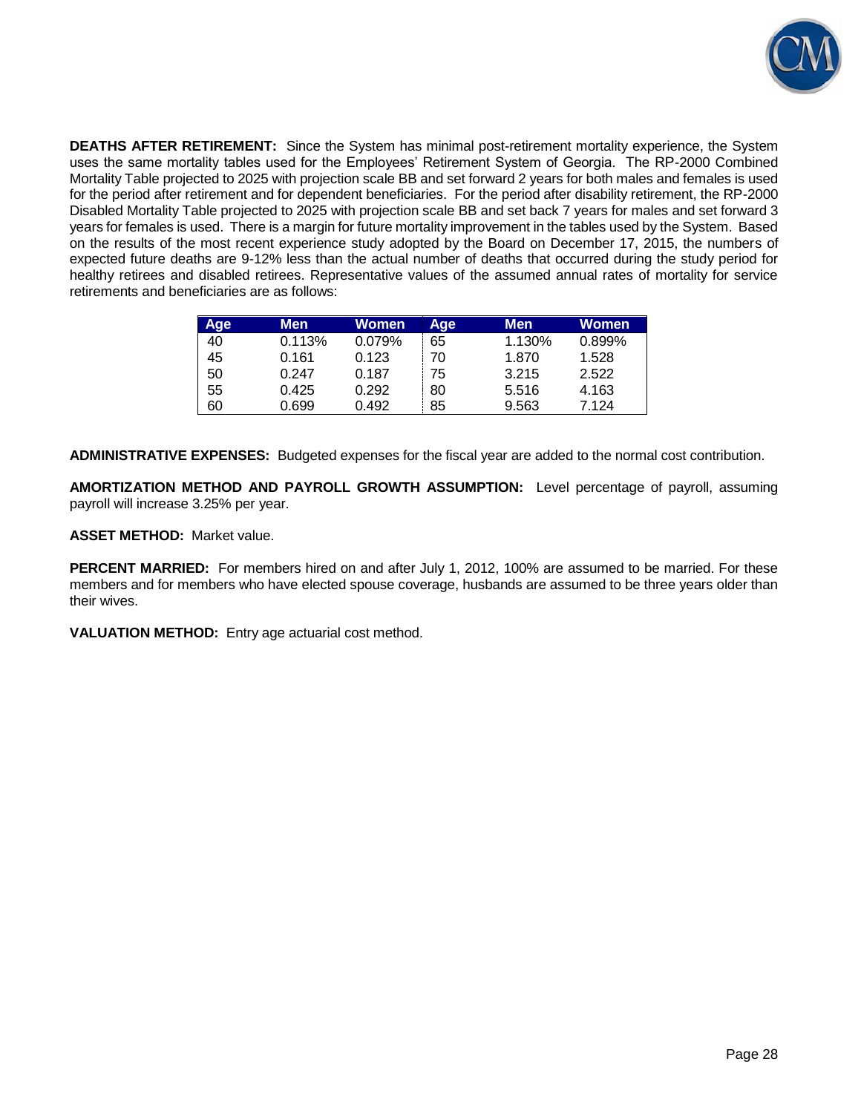**DEATHS AFTER RETIREMENT:** Since the System has minimal post-retirement mortality experience, the System uses the same mortality tables used for the Employees' Retirement System of Georgia. The RP-2000 Combined Mortality Table projected to 2025 with projection scale BB and set forward 2 years for both males and females is used for the period after retirement and for dependent beneficiaries. For the period after disability retirement, the RP-2000 Disabled Mortality Table projected to 2025 with projection scale BB and set back 7 years for males and set forward 3 years for females is used. There is a margin for future mortality improvement in the tables used by the System. Based on the results of the most recent experience study adopted by the Board on December 17, 2015, the numbers of expected future deaths are 9-12% less than the actual number of deaths that occurred during the study period for healthy retirees and disabled retirees. Representative values of the assumed annual rates of mortality for service retirements and beneficiaries are as follows:

| <b>Age</b> | Men    | Women  | Age | <b>Men</b> | Women  |
|------------|--------|--------|-----|------------|--------|
| 40         | 0.113% | 0.079% | 65  | 1.130%     | 0.899% |
| 45         | 0.161  | 0.123  | 70  | 1.870      | 1.528  |
| 50         | 0.247  | 0.187  | 75  | 3.215      | 2.522  |
| 55         | 0.425  | 0.292  | 80  | 5.516      | 4.163  |
| 60         | 0.699  | 0.492  | 85  | 9.563      | 7.124  |

**ADMINISTRATIVE EXPENSES:** Budgeted expenses for the fiscal year are added to the normal cost contribution.

**AMORTIZATION METHOD AND PAYROLL GROWTH ASSUMPTION:** Level percentage of payroll, assuming payroll will increase 3.25% per year.

**ASSET METHOD:** Market value.

**PERCENT MARRIED:** For members hired on and after July 1, 2012, 100% are assumed to be married. For these members and for members who have elected spouse coverage, husbands are assumed to be three years older than their wives.

**VALUATION METHOD:** Entry age actuarial cost method.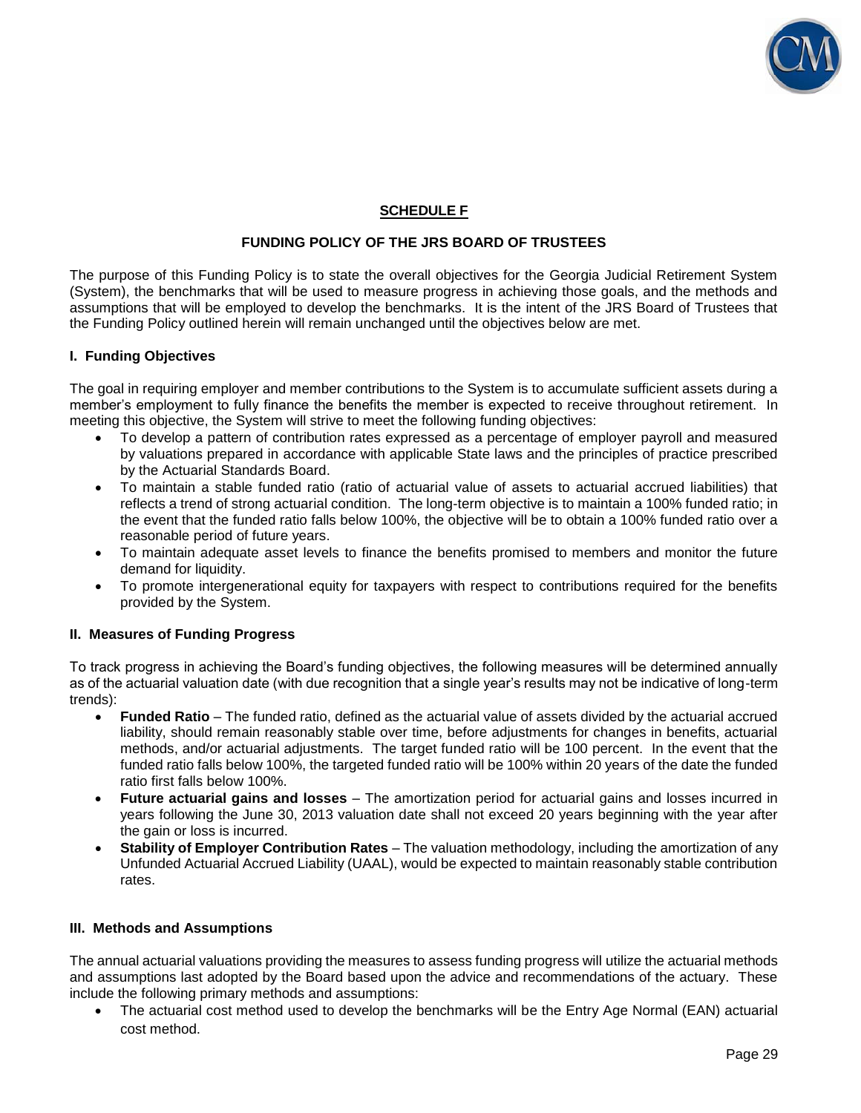

# **SCHEDULE F**

# **FUNDING POLICY OF THE JRS BOARD OF TRUSTEES**

The purpose of this Funding Policy is to state the overall objectives for the Georgia Judicial Retirement System (System), the benchmarks that will be used to measure progress in achieving those goals, and the methods and assumptions that will be employed to develop the benchmarks. It is the intent of the JRS Board of Trustees that the Funding Policy outlined herein will remain unchanged until the objectives below are met.

### **I. Funding Objectives**

The goal in requiring employer and member contributions to the System is to accumulate sufficient assets during a member's employment to fully finance the benefits the member is expected to receive throughout retirement. In meeting this objective, the System will strive to meet the following funding objectives:

- To develop a pattern of contribution rates expressed as a percentage of employer payroll and measured by valuations prepared in accordance with applicable State laws and the principles of practice prescribed by the Actuarial Standards Board.
- To maintain a stable funded ratio (ratio of actuarial value of assets to actuarial accrued liabilities) that reflects a trend of strong actuarial condition. The long-term objective is to maintain a 100% funded ratio; in the event that the funded ratio falls below 100%, the objective will be to obtain a 100% funded ratio over a reasonable period of future years.
- To maintain adequate asset levels to finance the benefits promised to members and monitor the future demand for liquidity.
- To promote intergenerational equity for taxpayers with respect to contributions required for the benefits provided by the System.

#### **II. Measures of Funding Progress**

To track progress in achieving the Board's funding objectives, the following measures will be determined annually as of the actuarial valuation date (with due recognition that a single year's results may not be indicative of long-term trends):

- **Funded Ratio** The funded ratio, defined as the actuarial value of assets divided by the actuarial accrued liability, should remain reasonably stable over time, before adjustments for changes in benefits, actuarial methods, and/or actuarial adjustments. The target funded ratio will be 100 percent. In the event that the funded ratio falls below 100%, the targeted funded ratio will be 100% within 20 years of the date the funded ratio first falls below 100%.
- **Future actuarial gains and losses**  The amortization period for actuarial gains and losses incurred in years following the June 30, 2013 valuation date shall not exceed 20 years beginning with the year after the gain or loss is incurred.
- **Stability of Employer Contribution Rates** The valuation methodology, including the amortization of any Unfunded Actuarial Accrued Liability (UAAL), would be expected to maintain reasonably stable contribution rates.

#### **III. Methods and Assumptions**

The annual actuarial valuations providing the measures to assess funding progress will utilize the actuarial methods and assumptions last adopted by the Board based upon the advice and recommendations of the actuary. These include the following primary methods and assumptions:

 The actuarial cost method used to develop the benchmarks will be the Entry Age Normal (EAN) actuarial cost method.